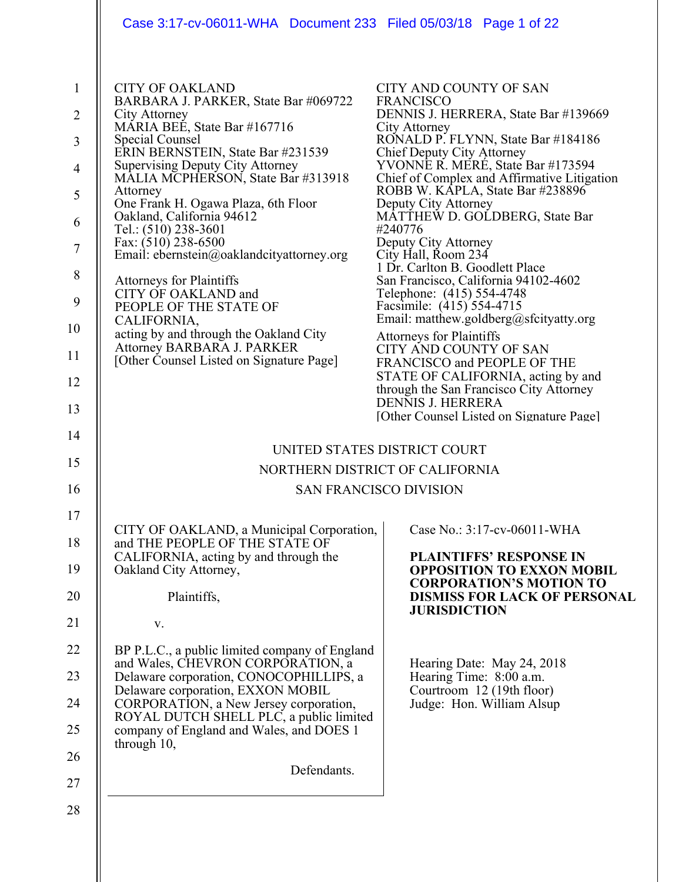|                                                                                                                                                                                                                                                                                                                                                                                                                                                                                                                                                                                                                                                             | Case 3:17-cv-06011-WHA Document 233 Filed 05/03/18 Page 1 of 22                                                                                                                                                                                                                                                                                                                                                                                                                                                                                                                                                                                                                                                                                                                                                                                         |
|-------------------------------------------------------------------------------------------------------------------------------------------------------------------------------------------------------------------------------------------------------------------------------------------------------------------------------------------------------------------------------------------------------------------------------------------------------------------------------------------------------------------------------------------------------------------------------------------------------------------------------------------------------------|---------------------------------------------------------------------------------------------------------------------------------------------------------------------------------------------------------------------------------------------------------------------------------------------------------------------------------------------------------------------------------------------------------------------------------------------------------------------------------------------------------------------------------------------------------------------------------------------------------------------------------------------------------------------------------------------------------------------------------------------------------------------------------------------------------------------------------------------------------|
| <b>CITY OF OAKLAND</b><br>BARBARA J. PARKER, State Bar #069722<br>City Attorney<br>MÁRIA BEÉ, State Bar #167716<br>Special Counsel<br>ERIN BERNSTEIN, State Bar #231539<br><b>Supervising Deputy City Attorney</b><br>MALIA MCPHERSON, State Bar #313918<br>Attorney<br>One Frank H. Ogawa Plaza, 6th Floor<br>Oakland, California 94612<br>Tel.: (510) 238-3601<br>Fax: (510) 238-6500<br>Email: ebernstein@oaklandcityattorney.org<br><b>Attorneys for Plaintiffs</b><br>CITY OF OAKLAND and<br>PEOPLE OF THE STATE OF<br>CALIFORNIA,<br>acting by and through the Oakland City<br>Attorney BARBARA J. PARKER<br>[Other Counsel Listed on Signature Page] | <b>CITY AND COUNTY OF SAN</b><br><b>FRANCISCO</b><br>DENNIS J. HERRERA, State Bar #139669<br>City Attorney<br>RONALD P. FLYNN, State Bar #184186<br>Chief Deputy City Attorney<br>YVONNE R. MERÉ, State Bar #173594<br>Chief of Complex and Affirmative Litigation<br>ROBB W. KÁPLA, State Bar #238896<br>Deputy City Attorney<br>MĀTTHEW D. GOLDBERG, State Bar<br>#240776<br>Deputy City Attorney<br>City Hall, Room 234<br>1 Dr. Carlton B. Goodlett Place<br>San Francisco, California 94102-4602<br>Telephone: (415) 554-4748<br>Facsimile: (415) 554-4715<br>Email: matthew.goldberg@sfcityatty.org<br>Attorneys for Plaintiffs<br>CITY AND COUNTY OF SAN<br>FRANCISCO and PEOPLE OF THE<br>STATE OF CALIFORNIA, acting by and<br>through the San Francisco City Attorney<br><b>DENNIS J. HERRERA</b><br>[Other Counsel Listed on Signature Page] |
|                                                                                                                                                                                                                                                                                                                                                                                                                                                                                                                                                                                                                                                             | UNITED STATES DISTRICT COURT                                                                                                                                                                                                                                                                                                                                                                                                                                                                                                                                                                                                                                                                                                                                                                                                                            |
|                                                                                                                                                                                                                                                                                                                                                                                                                                                                                                                                                                                                                                                             | NORTHERN DISTRICT OF CALIFORNIA                                                                                                                                                                                                                                                                                                                                                                                                                                                                                                                                                                                                                                                                                                                                                                                                                         |
|                                                                                                                                                                                                                                                                                                                                                                                                                                                                                                                                                                                                                                                             | <b>SAN FRANCISCO DIVISION</b>                                                                                                                                                                                                                                                                                                                                                                                                                                                                                                                                                                                                                                                                                                                                                                                                                           |
|                                                                                                                                                                                                                                                                                                                                                                                                                                                                                                                                                                                                                                                             |                                                                                                                                                                                                                                                                                                                                                                                                                                                                                                                                                                                                                                                                                                                                                                                                                                                         |
| CITY OF OAKLAND, a Municipal Corporation,<br>and THE PEOPLE OF THE STATE OF                                                                                                                                                                                                                                                                                                                                                                                                                                                                                                                                                                                 | Case No.: 3:17-cv-06011-WHA                                                                                                                                                                                                                                                                                                                                                                                                                                                                                                                                                                                                                                                                                                                                                                                                                             |
| CALIFORNIA, acting by and through the<br>Oakland City Attorney,                                                                                                                                                                                                                                                                                                                                                                                                                                                                                                                                                                                             | <b>PLAINTIFFS' RESPONSE IN</b><br><b>OPPOSITION TO EXXON MOBIL</b>                                                                                                                                                                                                                                                                                                                                                                                                                                                                                                                                                                                                                                                                                                                                                                                      |
| Plaintiffs,                                                                                                                                                                                                                                                                                                                                                                                                                                                                                                                                                                                                                                                 | <b>CORPORATION'S MOTION TO</b><br><b>DISMISS FOR LACK OF PERSONAL</b>                                                                                                                                                                                                                                                                                                                                                                                                                                                                                                                                                                                                                                                                                                                                                                                   |
| V.                                                                                                                                                                                                                                                                                                                                                                                                                                                                                                                                                                                                                                                          | <b>JURISDICTION</b>                                                                                                                                                                                                                                                                                                                                                                                                                                                                                                                                                                                                                                                                                                                                                                                                                                     |
| BP P.L.C., a public limited company of England                                                                                                                                                                                                                                                                                                                                                                                                                                                                                                                                                                                                              |                                                                                                                                                                                                                                                                                                                                                                                                                                                                                                                                                                                                                                                                                                                                                                                                                                                         |
| and Wales, CHEVRON CORPORATION, a<br>Delaware corporation, CONOCOPHILLIPS, a                                                                                                                                                                                                                                                                                                                                                                                                                                                                                                                                                                                | Hearing Date: May 24, 2018<br>Hearing Time: 8:00 a.m.                                                                                                                                                                                                                                                                                                                                                                                                                                                                                                                                                                                                                                                                                                                                                                                                   |
| Delaware corporation, EXXON MOBIL<br>CORPORATION, a New Jersey corporation,                                                                                                                                                                                                                                                                                                                                                                                                                                                                                                                                                                                 | Courtroom 12 (19th floor)<br>Judge: Hon. William Alsup                                                                                                                                                                                                                                                                                                                                                                                                                                                                                                                                                                                                                                                                                                                                                                                                  |
| ROYAL DUTCH SHELL PLC, a public limited<br>company of England and Wales, and DOES 1<br>through 10,                                                                                                                                                                                                                                                                                                                                                                                                                                                                                                                                                          |                                                                                                                                                                                                                                                                                                                                                                                                                                                                                                                                                                                                                                                                                                                                                                                                                                                         |
|                                                                                                                                                                                                                                                                                                                                                                                                                                                                                                                                                                                                                                                             |                                                                                                                                                                                                                                                                                                                                                                                                                                                                                                                                                                                                                                                                                                                                                                                                                                                         |
|                                                                                                                                                                                                                                                                                                                                                                                                                                                                                                                                                                                                                                                             | Defendants.                                                                                                                                                                                                                                                                                                                                                                                                                                                                                                                                                                                                                                                                                                                                                                                                                                             |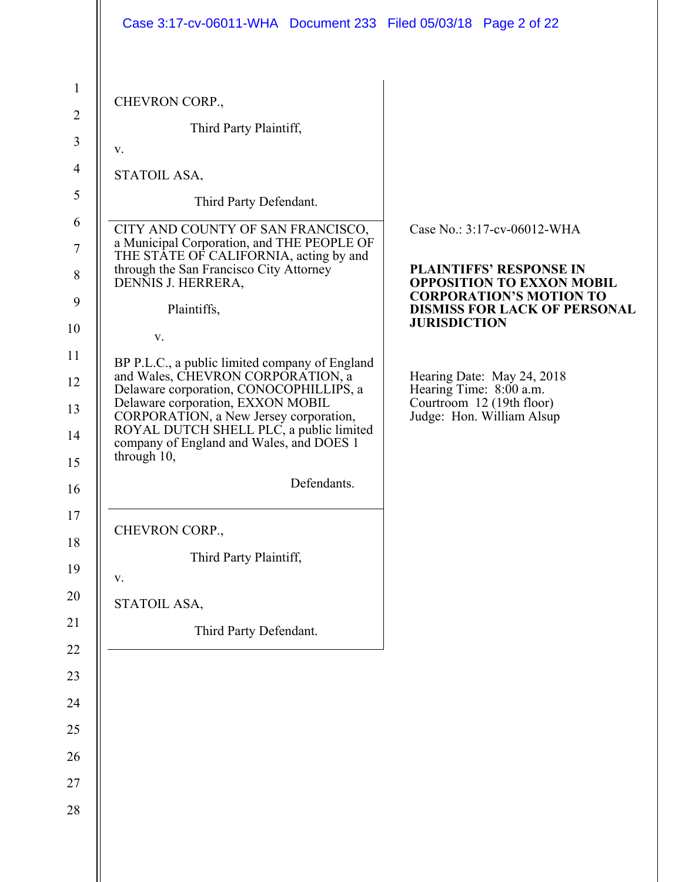| Case 3:17-cv-06011-WHA  Document 233  Filed 05/03/18  Page 2 of 22                                                                                                                                                                                                                                                  |                                                                                                                 |
|---------------------------------------------------------------------------------------------------------------------------------------------------------------------------------------------------------------------------------------------------------------------------------------------------------------------|-----------------------------------------------------------------------------------------------------------------|
|                                                                                                                                                                                                                                                                                                                     |                                                                                                                 |
| CHEVRON CORP.,                                                                                                                                                                                                                                                                                                      |                                                                                                                 |
| Third Party Plaintiff,                                                                                                                                                                                                                                                                                              |                                                                                                                 |
| v.                                                                                                                                                                                                                                                                                                                  |                                                                                                                 |
| STATOIL ASA,                                                                                                                                                                                                                                                                                                        |                                                                                                                 |
| Third Party Defendant.                                                                                                                                                                                                                                                                                              |                                                                                                                 |
| CITY AND COUNTY OF SAN FRANCISCO,<br>a Municipal Corporation, and THE PEOPLE OF                                                                                                                                                                                                                                     | Case No.: 3:17-cv-06012-WHA                                                                                     |
| THE STATE OF CALIFORNIA, acting by and<br>through the San Francisco City Attorney<br>DENNIS J. HERRERA,                                                                                                                                                                                                             | <b>PLAINTIFFS' RESPONSE IN</b><br><b>OPPOSITION TO EXXON MOBIL</b><br><b>CORPORATION'S MOTION TO</b>            |
| Plaintiffs,                                                                                                                                                                                                                                                                                                         | <b>DISMISS FOR LACK OF PERSONAL</b>                                                                             |
| V.                                                                                                                                                                                                                                                                                                                  | <b>JURISDICTION</b>                                                                                             |
| BP P.L.C., a public limited company of England<br>and Wales, CHEVRON CORPORATION, a<br>Delaware corporation, CONOCOPHILLIPS, a<br>Delaware corporation, EXXON MOBIL<br>CORPORATION, a New Jersey corporation,<br>ROYAL DUTCH SHELL PLC, a public limited<br>company of England and Wales, and DOES 1<br>through 10, | Hearing Date: May 24, 2018<br>Hearing Time: 8:00 a.m.<br>Courtroom 12 (19th floor)<br>Judge: Hon. William Alsup |
| Defendants.                                                                                                                                                                                                                                                                                                         |                                                                                                                 |
| CHEVRON CORP.,                                                                                                                                                                                                                                                                                                      |                                                                                                                 |
| Third Party Plaintiff,                                                                                                                                                                                                                                                                                              |                                                                                                                 |
| $\mathbf{V}$ .                                                                                                                                                                                                                                                                                                      |                                                                                                                 |
| STATOIL ASA,                                                                                                                                                                                                                                                                                                        |                                                                                                                 |
| Third Party Defendant.                                                                                                                                                                                                                                                                                              |                                                                                                                 |
|                                                                                                                                                                                                                                                                                                                     |                                                                                                                 |
|                                                                                                                                                                                                                                                                                                                     |                                                                                                                 |
|                                                                                                                                                                                                                                                                                                                     |                                                                                                                 |
|                                                                                                                                                                                                                                                                                                                     |                                                                                                                 |
|                                                                                                                                                                                                                                                                                                                     |                                                                                                                 |
|                                                                                                                                                                                                                                                                                                                     |                                                                                                                 |
|                                                                                                                                                                                                                                                                                                                     |                                                                                                                 |
|                                                                                                                                                                                                                                                                                                                     |                                                                                                                 |
|                                                                                                                                                                                                                                                                                                                     |                                                                                                                 |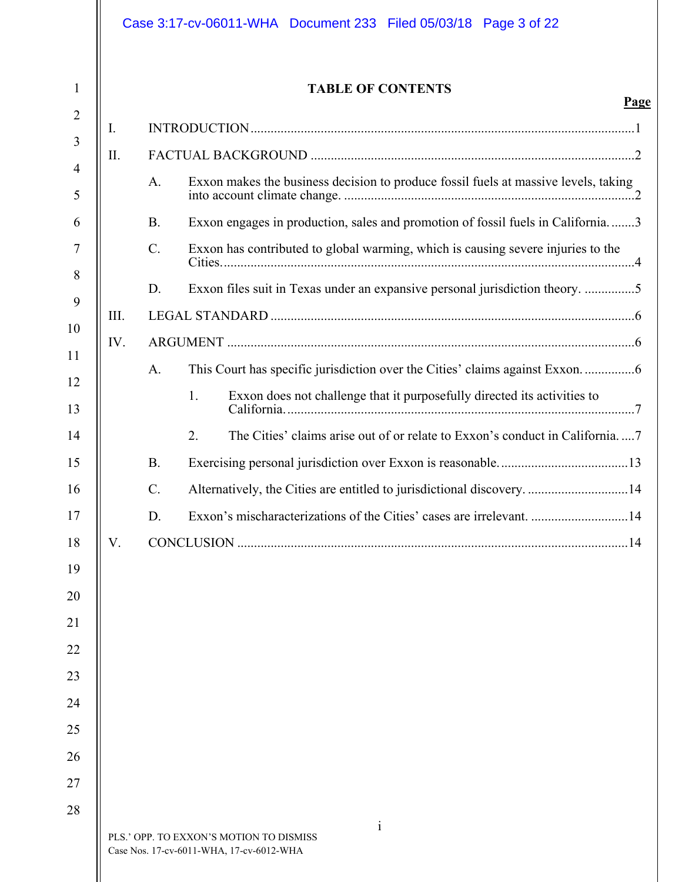|      |                 | <b>TABLE OF CONTENTS</b>                                                            |
|------|-----------------|-------------------------------------------------------------------------------------|
| I.   |                 |                                                                                     |
| Π.   |                 |                                                                                     |
|      | A.              | Exxon makes the business decision to produce fossil fuels at massive levels, taking |
|      | <b>B.</b>       | Exxon engages in production, sales and promotion of fossil fuels in California3     |
|      | $C$ .           | Exxon has contributed to global warming, which is causing severe injuries to the    |
|      | D.              | Exxon files suit in Texas under an expansive personal jurisdiction theory. 5        |
| III. |                 |                                                                                     |
| IV.  |                 |                                                                                     |
|      | A.              | This Court has specific jurisdiction over the Cities' claims against Exxon6         |
|      |                 | Exxon does not challenge that it purposefully directed its activities to<br>1.      |
|      |                 | The Cities' claims arise out of or relate to Exxon's conduct in California7<br>2.   |
|      | <b>B.</b>       |                                                                                     |
|      | $\mathcal{C}$ . | Alternatively, the Cities are entitled to jurisdictional discovery. 14              |
|      | D.              | Exxon's mischaracterizations of the Cities' cases are irrelevant. 14                |
| V.   |                 |                                                                                     |
|      |                 |                                                                                     |
|      |                 |                                                                                     |
|      |                 |                                                                                     |
|      |                 |                                                                                     |
|      |                 |                                                                                     |
|      |                 |                                                                                     |
|      |                 |                                                                                     |
|      |                 |                                                                                     |
|      |                 |                                                                                     |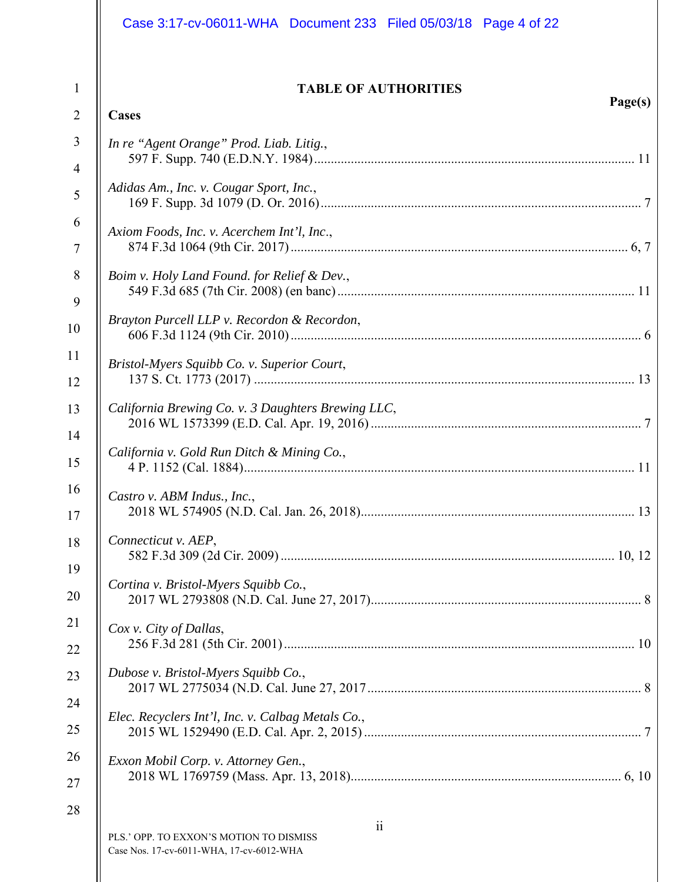|                                                                                                         | Case 3:17-cv-06011-WHA Document 233 Filed 05/03/18 Page 4 of 22                                                                                                                                                                                                                                                                                                                                                                          |
|---------------------------------------------------------------------------------------------------------|------------------------------------------------------------------------------------------------------------------------------------------------------------------------------------------------------------------------------------------------------------------------------------------------------------------------------------------------------------------------------------------------------------------------------------------|
| $\mathbf{1}$<br>$\overline{2}$                                                                          | <b>TABLE OF AUTHORITIES</b><br>Page(s)<br>Cases                                                                                                                                                                                                                                                                                                                                                                                          |
| 3<br>$\overline{4}$<br>5<br>6<br>$\tau$<br>8<br>9<br>10<br>11<br>12<br>13<br>14<br>15<br>16<br>17<br>18 | In re "Agent Orange" Prod. Liab. Litig.,<br>Adidas Am., Inc. v. Cougar Sport, Inc.,<br>Axiom Foods, Inc. v. Acerchem Int'l, Inc.,<br>Boim v. Holy Land Found. for Relief & Dev.,<br>Brayton Purcell LLP v. Recordon & Recordon,<br>Bristol-Myers Squibb Co. v. Superior Court,<br>California Brewing Co. v. 3 Daughters Brewing LLC,<br>California v. Gold Run Ditch & Mining Co.,<br>Castro v. ABM Indus., Inc.,<br>Connecticut v. AEP, |
| 19<br>20<br>21<br>22<br>23<br>24<br>25                                                                  | Cortina v. Bristol-Myers Squibb Co.,<br>Cox v. City of Dallas,<br>Dubose v. Bristol-Myers Squibb Co.,<br>Elec. Recyclers Int'l, Inc. v. Calbag Metals Co.,                                                                                                                                                                                                                                                                               |
| 26<br>27<br>28                                                                                          | Exxon Mobil Corp. v. Attorney Gen.,<br>$\overline{11}$<br>PLS.' OPP. TO EXXON'S MOTION TO DISMISS<br>Case Nos. 17-cv-6011-WHA, 17-cv-6012-WHA                                                                                                                                                                                                                                                                                            |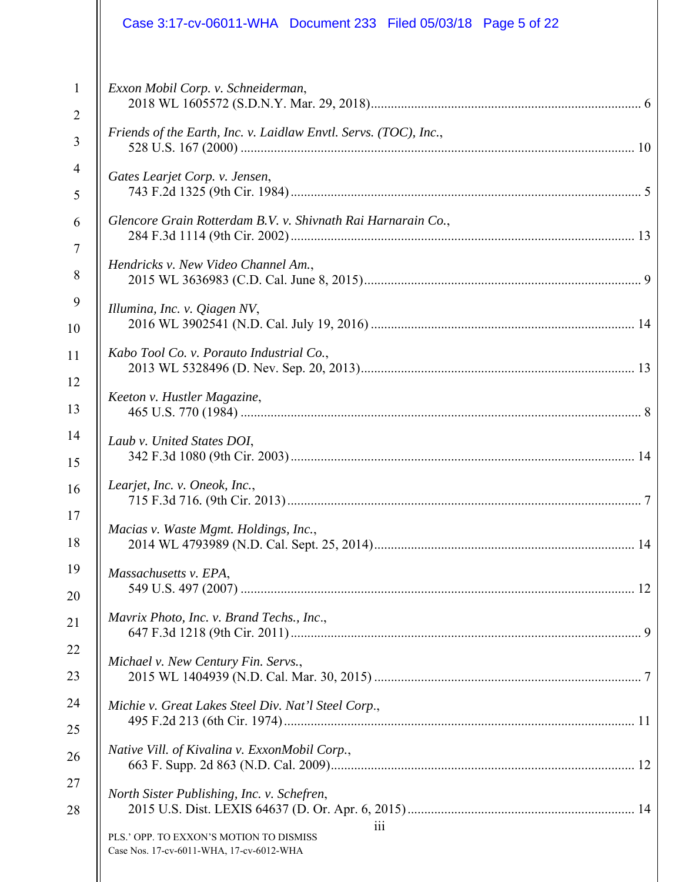|                | Case 3:17-cv-06011-WHA Document 233 Filed 05/03/18 Page 5 of 22                            |
|----------------|--------------------------------------------------------------------------------------------|
| $\mathbf{1}$   | Exxon Mobil Corp. v. Schneiderman,                                                         |
| $\overline{2}$ |                                                                                            |
| 3              | Friends of the Earth, Inc. v. Laidlaw Envtl. Servs. (TOC), Inc.,                           |
| 4              | Gates Learjet Corp. v. Jensen,                                                             |
| 5              |                                                                                            |
| 6              | Glencore Grain Rotterdam B.V. v. Shivnath Rai Harnarain Co.,                               |
| $\tau$         | Hendricks v. New Video Channel Am.,                                                        |
| 8              |                                                                                            |
| 9              | Illumina, Inc. v. Qiagen NV,                                                               |
| 10             |                                                                                            |
| 11             | Kabo Tool Co. v. Porauto Industrial Co.,                                                   |
| 12             | Keeton v. Hustler Magazine,                                                                |
| 13             |                                                                                            |
| 14             | Laub v. United States DOI,                                                                 |
| 15             |                                                                                            |
| 16             | Learjet, Inc. v. Oneok, Inc.,<br>7                                                         |
| 17             | Macias v. Waste Mgmt. Holdings, Inc.,                                                      |
| 18             |                                                                                            |
| 19             | Massachusetts v. EPA,                                                                      |
| 20             |                                                                                            |
| 21             | Mavrix Photo, Inc. v. Brand Techs., Inc.,                                                  |
| 22             | Michael v. New Century Fin. Servs.,                                                        |
| 23             |                                                                                            |
| 24             | Michie v. Great Lakes Steel Div. Nat'l Steel Corp.,                                        |
| 25             |                                                                                            |
| 26             | Native Vill. of Kivalina v. ExxonMobil Corp.,                                              |
| 27             | North Sister Publishing, Inc. v. Schefren,                                                 |
| 28             |                                                                                            |
|                | 111<br>PLS.' OPP. TO EXXON'S MOTION TO DISMISS<br>Case Nos. 17-cv-6011-WHA, 17-cv-6012-WHA |
|                |                                                                                            |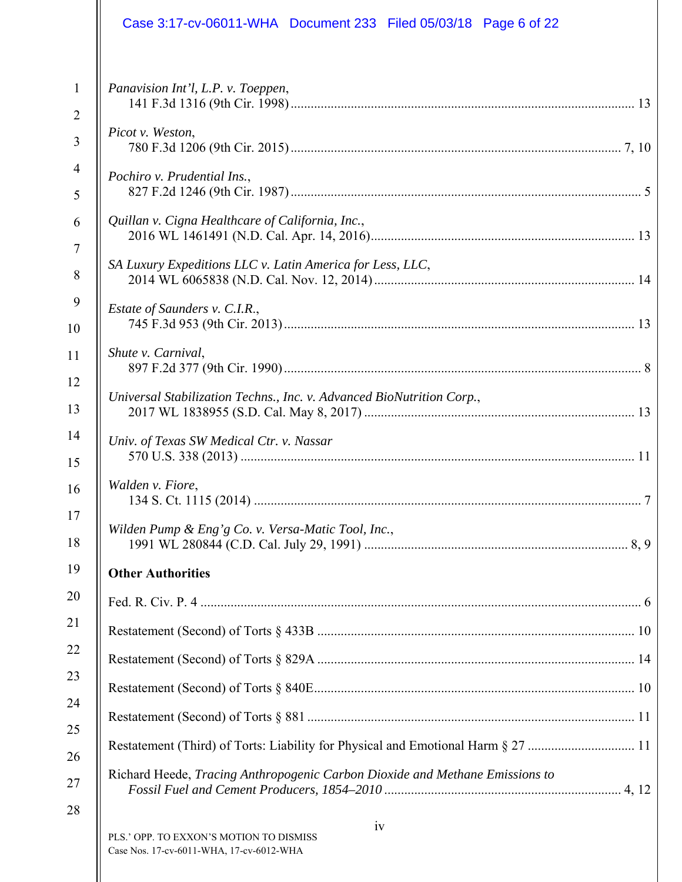|                                | Case 3:17-cv-06011-WHA Document 233 Filed 05/03/18 Page 6 of 22                  |
|--------------------------------|----------------------------------------------------------------------------------|
| $\mathbf{1}$<br>$\overline{2}$ | Panavision Int'l, L.P. v. Toeppen,                                               |
| 3                              | Picot v. Weston,                                                                 |
| $\overline{4}$<br>5            | Pochiro v. Prudential Ins.,                                                      |
| 6                              | Quillan v. Cigna Healthcare of California, Inc.,                                 |
| $\overline{7}$<br>8            | SA Luxury Expeditions LLC v. Latin America for Less, LLC,                        |
| 9<br>10                        | Estate of Saunders v. C.I.R.,                                                    |
| 11                             | Shute v. Carnival,                                                               |
| 12<br>13                       | Universal Stabilization Techns., Inc. v. Advanced BioNutrition Corp.,            |
| 14<br>15                       | Univ. of Texas SW Medical Ctr. v. Nassar                                         |
| 16                             | Walden v. Fiore,                                                                 |
| 17<br>18                       | Wilden Pump & Eng'g Co. v. Versa-Matic Tool, Inc.,                               |
| 19                             | <b>Other Authorities</b>                                                         |
| 20                             |                                                                                  |
| 21                             |                                                                                  |
| 22                             |                                                                                  |
| 23                             |                                                                                  |
| 24<br>25                       |                                                                                  |
| 26                             | Restatement (Third) of Torts: Liability for Physical and Emotional Harm § 27  11 |
| 27                             | Richard Heede, Tracing Anthropogenic Carbon Dioxide and Methane Emissions to     |
| 28                             | iv<br>PLS.' OPP. TO EXXON'S MOTION TO DISMISS                                    |

Case Nos. 17-cv-6011-WHA, 17-cv-6012-WHA

 $\mathsf{I}$ 

 $\parallel$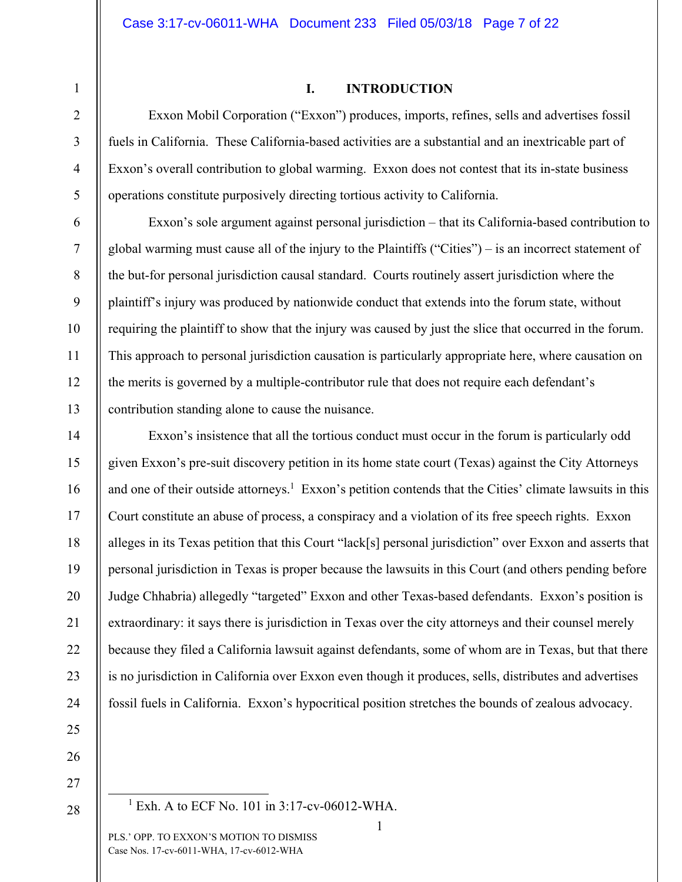# 1 2

3

4

5

6

7

8

9

10

11

12

13

14

15

16

17

18

19

20

21

22

23

24

#### **I. INTRODUCTION**

Exxon Mobil Corporation ("Exxon") produces, imports, refines, sells and advertises fossil fuels in California. These California-based activities are a substantial and an inextricable part of Exxon's overall contribution to global warming. Exxon does not contest that its in-state business operations constitute purposively directing tortious activity to California.

Exxon's sole argument against personal jurisdiction – that its California-based contribution to global warming must cause all of the injury to the Plaintiffs ("Cities") – is an incorrect statement of the but-for personal jurisdiction causal standard. Courts routinely assert jurisdiction where the plaintiff's injury was produced by nationwide conduct that extends into the forum state, without requiring the plaintiff to show that the injury was caused by just the slice that occurred in the forum. This approach to personal jurisdiction causation is particularly appropriate here, where causation on the merits is governed by a multiple-contributor rule that does not require each defendant's contribution standing alone to cause the nuisance.

Exxon's insistence that all the tortious conduct must occur in the forum is particularly odd given Exxon's pre-suit discovery petition in its home state court (Texas) against the City Attorneys and one of their outside attorneys.<sup>1</sup> Exxon's petition contends that the Cities' climate lawsuits in this Court constitute an abuse of process, a conspiracy and a violation of its free speech rights. Exxon alleges in its Texas petition that this Court "lack[s] personal jurisdiction" over Exxon and asserts that personal jurisdiction in Texas is proper because the lawsuits in this Court (and others pending before Judge Chhabria) allegedly "targeted" Exxon and other Texas-based defendants. Exxon's position is extraordinary: it says there is jurisdiction in Texas over the city attorneys and their counsel merely because they filed a California lawsuit against defendants, some of whom are in Texas, but that there is no jurisdiction in California over Exxon even though it produces, sells, distributes and advertises fossil fuels in California. Exxon's hypocritical position stretches the bounds of zealous advocacy.

25 26

27 28

 $\frac{1}{1}$  $^{1}$  Exh. A to ECF No. 101 in 3:17-cv-06012-WHA.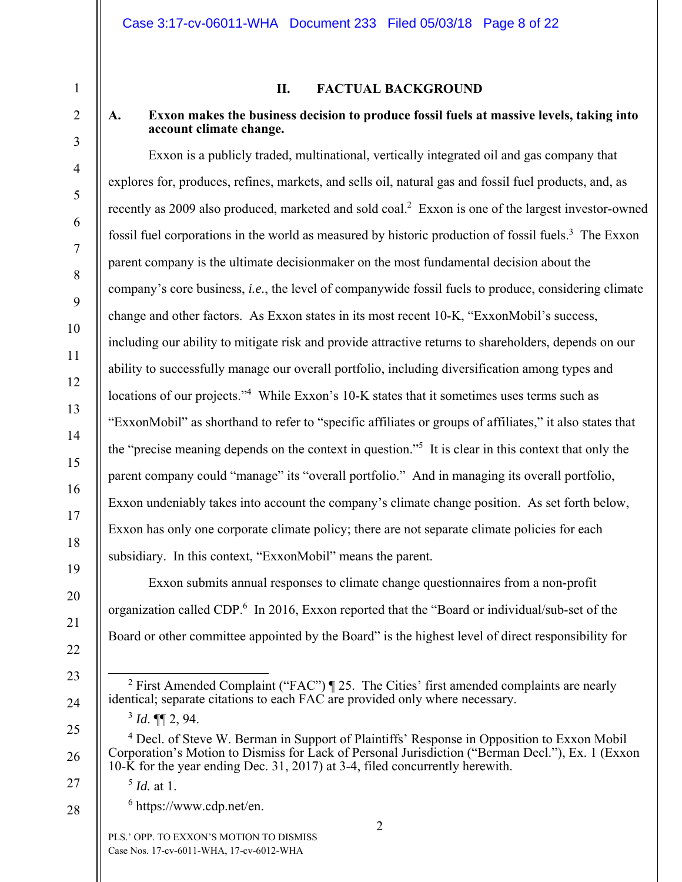### **II. FACTUAL BACKGROUND**

### **A. Exxon makes the business decision to produce fossil fuels at massive levels, taking into account climate change.**

Exxon is a publicly traded, multinational, vertically integrated oil and gas company that explores for, produces, refines, markets, and sells oil, natural gas and fossil fuel products, and, as recently as 2009 also produced, marketed and sold coal.<sup>2</sup> Exxon is one of the largest investor-owned fossil fuel corporations in the world as measured by historic production of fossil fuels.<sup>3</sup> The Exxon parent company is the ultimate decisionmaker on the most fundamental decision about the company's core business, *i.e.*, the level of companywide fossil fuels to produce, considering climate change and other factors. As Exxon states in its most recent 10-K, "ExxonMobil's success, including our ability to mitigate risk and provide attractive returns to shareholders, depends on our ability to successfully manage our overall portfolio, including diversification among types and locations of our projects."<sup>4</sup> While Exxon's 10-K states that it sometimes uses terms such as "ExxonMobil" as shorthand to refer to "specific affiliates or groups of affiliates," it also states that the "precise meaning depends on the context in question."5 It is clear in this context that only the parent company could "manage" its "overall portfolio." And in managing its overall portfolio, Exxon undeniably takes into account the company's climate change position. As set forth below, Exxon has only one corporate climate policy; there are not separate climate policies for each subsidiary. In this context, "ExxonMobil" means the parent.

Exxon submits annual responses to climate change questionnaires from a non-profit organization called CDP.<sup>6</sup> In 2016, Exxon reported that the "Board or individual/sub-set of the Board or other committee appointed by the Board" is the highest level of direct responsibility for

1

2

3

4

5

6

7

8

9

10

11

12

13

14

15

16

17

18

19

20

21

22

23

24

25

26

27

28

<sup>&</sup>lt;sup>2</sup> First Amended Complaint ("FAC") ¶ 25. The Cities' first amended complaints are nearly identical; separate citations to each FAC are provided only where necessary.

 $3$  *Id.* **¶1** 2, 94.

<sup>&</sup>lt;sup>4</sup> Decl. of Steve W. Berman in Support of Plaintiffs' Response in Opposition to Exxon Mobil Corporation's Motion to Dismiss for Lack of Personal Jurisdiction ("Berman Decl."), Ex. 1 (Exxon 10-K for the year ending Dec. 31, 2017) at 3-4, filed concurrently herewith.

<sup>5</sup> *Id.* at 1.

<sup>6</sup> https://www.cdp.net/en.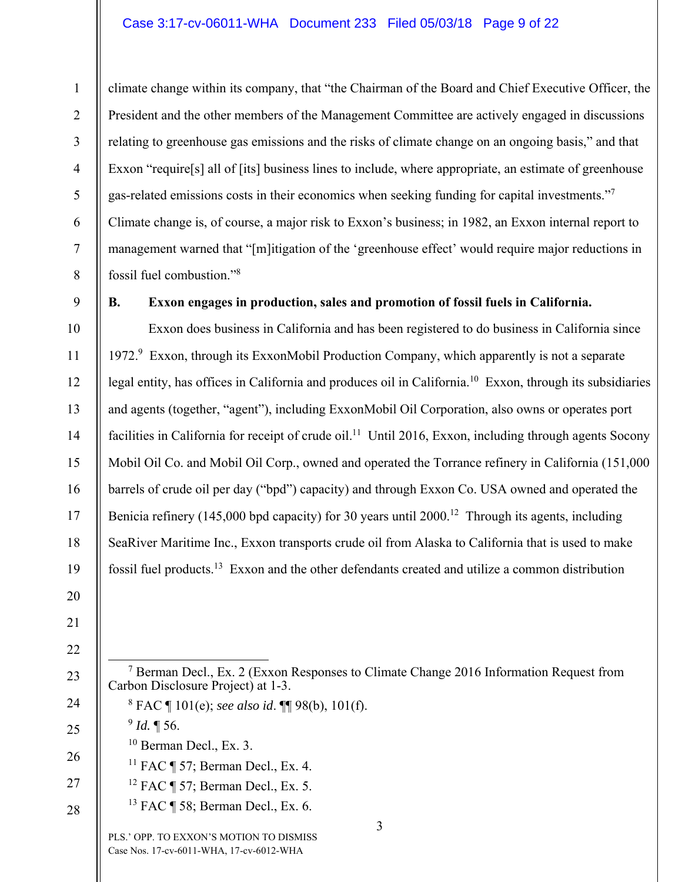#### Case 3:17-cv-06011-WHA Document 233 Filed 05/03/18 Page 9 of 22

climate change within its company, that "the Chairman of the Board and Chief Executive Officer, the President and the other members of the Management Committee are actively engaged in discussions relating to greenhouse gas emissions and the risks of climate change on an ongoing basis," and that Exxon "require<sup>[s]</sup> all of [its] business lines to include, where appropriate, an estimate of greenhouse gas-related emissions costs in their economics when seeking funding for capital investments."<sup>7</sup> Climate change is, of course, a major risk to Exxon's business; in 1982, an Exxon internal report to management warned that "[m]itigation of the 'greenhouse effect' would require major reductions in fossil fuel combustion."8

9

1

2

3

4

5

6

7

8

10

11

12

13

14

15

16

17

18

19

20

### **B. Exxon engages in production, sales and promotion of fossil fuels in California.**

Exxon does business in California and has been registered to do business in California since 1972.<sup>9</sup> Exxon, through its ExxonMobil Production Company, which apparently is not a separate legal entity, has offices in California and produces oil in California.<sup>10</sup> Exxon, through its subsidiaries and agents (together, "agent"), including ExxonMobil Oil Corporation, also owns or operates port facilities in California for receipt of crude oil.<sup>11</sup> Until 2016, Exxon, including through agents Socony Mobil Oil Co. and Mobil Oil Corp., owned and operated the Torrance refinery in California (151,000 barrels of crude oil per day ("bpd") capacity) and through Exxon Co. USA owned and operated the Benicia refinery (145,000 bpd capacity) for 30 years until 2000.<sup>12</sup> Through its agents, including SeaRiver Maritime Inc., Exxon transports crude oil from Alaska to California that is used to make fossil fuel products.13 Exxon and the other defendants created and utilize a common distribution

- 21 22
- 23

7

- 24
- 

26

25

 $10$  Berman Decl., Ex. 3.

 $^{9}$  *Id.* ¶ 56.

<sup>11</sup> FAC  $\P$  57; Berman Decl., Ex. 4.

Carbon Disclosure Project) at 1-3.

8 FAC ¶ 101(e); *see also id*. ¶¶ 98(b), 101(f).

27 12 FAC ¶ 57; Berman Decl., Ex. 5.

28 13 FAC ¶ 58; Berman Decl., Ex. 6.

> PLS.' OPP. TO EXXON'S MOTION TO DISMISS Case Nos. 17-cv-6011-WHA, 17-cv-6012-WHA

 $<sup>7</sup>$  Berman Decl., Ex. 2 (Exxon Responses to Climate Change 2016 Information Request from</sup>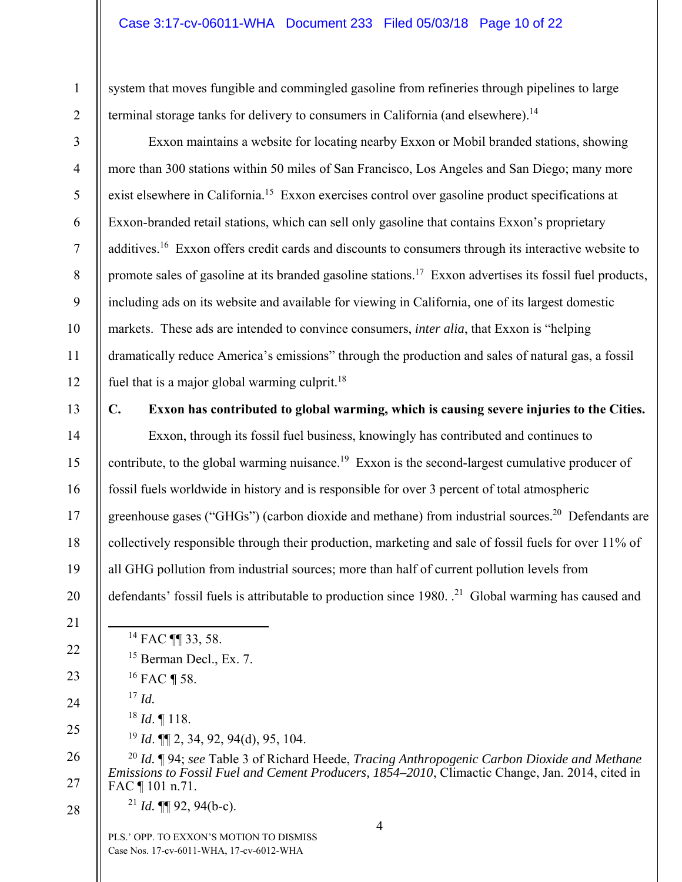### Case 3:17-cv-06011-WHA Document 233 Filed 05/03/18 Page 10 of 22

system that moves fungible and commingled gasoline from refineries through pipelines to large terminal storage tanks for delivery to consumers in California (and elsewhere).<sup>14</sup>

2 3

4

5

6

7

8

9

10

11

12

13

14

15

16

17

18

19

20

21

22

1

Exxon maintains a website for locating nearby Exxon or Mobil branded stations, showing more than 300 stations within 50 miles of San Francisco, Los Angeles and San Diego; many more exist elsewhere in California.15 Exxon exercises control over gasoline product specifications at Exxon-branded retail stations, which can sell only gasoline that contains Exxon's proprietary additives.16 Exxon offers credit cards and discounts to consumers through its interactive website to promote sales of gasoline at its branded gasoline stations.<sup>17</sup> Exxon advertises its fossil fuel products, including ads on its website and available for viewing in California, one of its largest domestic markets. These ads are intended to convince consumers, *inter alia*, that Exxon is "helping dramatically reduce America's emissions" through the production and sales of natural gas, a fossil fuel that is a major global warming culprit.<sup>18</sup>

### **C. Exxon has contributed to global warming, which is causing severe injuries to the Cities.**

Exxon, through its fossil fuel business, knowingly has contributed and continues to contribute, to the global warming nuisance.<sup>19</sup> Exxon is the second-largest cumulative producer of fossil fuels worldwide in history and is responsible for over 3 percent of total atmospheric greenhouse gases ("GHGs") (carbon dioxide and methane) from industrial sources.<sup>20</sup> Defendants are collectively responsible through their production, marketing and sale of fossil fuels for over 11% of all GHG pollution from industrial sources; more than half of current pollution levels from defendants' fossil fuels is attributable to production since 1980. <sup>21</sup> Global warming has caused and

24

25

<sup>19</sup> *Id*. ¶¶ 2, 34, 92, 94(d), 95, 104.

14 FAC ¶¶ 33, 58.

16 FAC *¶* 58.

<sup>18</sup> *Id*. ¶ 118.

<sup>17</sup> *Id.*

<sup>15</sup> Berman Decl., Ex. 7.

 $^{21}$  *Id.* **[1]** 92, 94(b-c).

<sup>20</sup> *Id.* ¶ 94; *see* Table 3 of Richard Heede, *Tracing Anthropogenic Carbon Dioxide and Methane Emissions to Fossil Fuel and Cement Producers, 1854–2010*, Climactic Change, Jan. 2014, cited in FAC ¶ 101 n.71.

28

26

27

<sup>23</sup>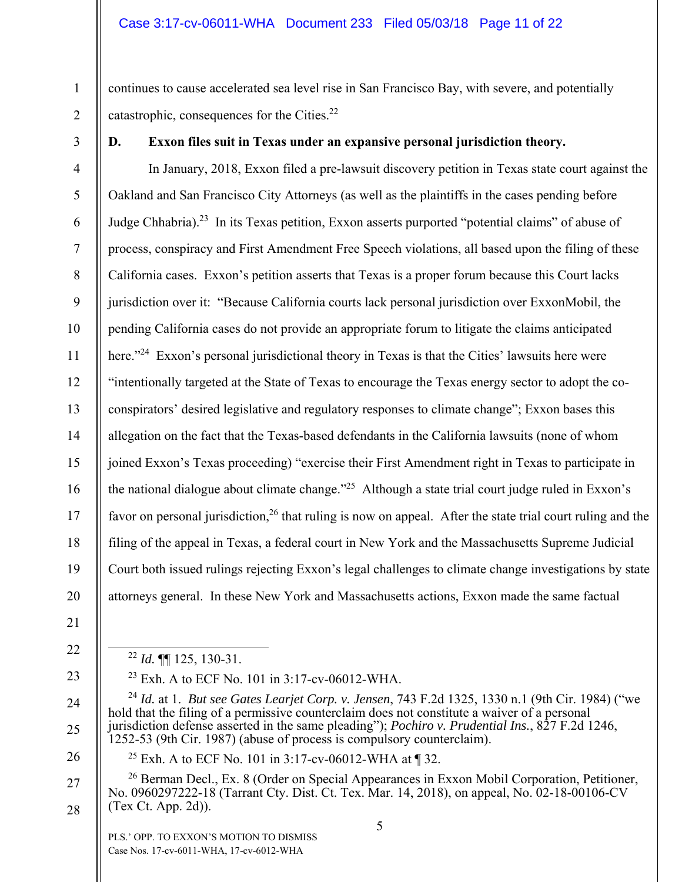continues to cause accelerated sea level rise in San Francisco Bay, with severe, and potentially catastrophic, consequences for the Cities.22

3

1

2

11

# **D. Exxon files suit in Texas under an expansive personal jurisdiction theory.**

4 5 6 7 8 9 10 12 13 14 15 16 17 18 19 20 In January, 2018, Exxon filed a pre-lawsuit discovery petition in Texas state court against the Oakland and San Francisco City Attorneys (as well as the plaintiffs in the cases pending before Judge Chhabria).23 In its Texas petition, Exxon asserts purported "potential claims" of abuse of process, conspiracy and First Amendment Free Speech violations, all based upon the filing of these California cases. Exxon's petition asserts that Texas is a proper forum because this Court lacks jurisdiction over it: "Because California courts lack personal jurisdiction over ExxonMobil, the pending California cases do not provide an appropriate forum to litigate the claims anticipated here."<sup>24</sup> Exxon's personal jurisdictional theory in Texas is that the Cities' lawsuits here were "intentionally targeted at the State of Texas to encourage the Texas energy sector to adopt the coconspirators' desired legislative and regulatory responses to climate change"; Exxon bases this allegation on the fact that the Texas-based defendants in the California lawsuits (none of whom joined Exxon's Texas proceeding) "exercise their First Amendment right in Texas to participate in the national dialogue about climate change."<sup>25</sup> Although a state trial court judge ruled in Exxon's favor on personal jurisdiction,  $^{26}$  that ruling is now on appeal. After the state trial court ruling and the filing of the appeal in Texas, a federal court in New York and the Massachusetts Supreme Judicial Court both issued rulings rejecting Exxon's legal challenges to climate change investigations by state attorneys general. In these New York and Massachusetts actions, Exxon made the same factual

- 21
- 22
- 23
- 24

25

26

27

28

<sup>25</sup> Exh. A to ECF No. 101 in 3:17-cv-06012-WHA at  $\P$  32.

1252-53 (9th Cir. 1987) (abuse of process is compulsory counterclaim).

 $^{23}$  Exh. A to ECF No. 101 in 3:17-cv-06012-WHA.

<sup>26</sup> Berman Decl., Ex. 8 (Order on Special Appearances in Exxon Mobil Corporation, Petitioner, No. 0960297222-18 (Tarrant Cty. Dist. Ct. Tex. Mar. 14, 2018), on appeal, No. 02-18-00106-CV (Tex Ct. App. 2d)).

hold that the filing of a permissive counterclaim does not constitute a waiver of a personal jurisdiction defense asserted in the same pleading"); *Pochiro v. Prudential Ins.*, 827 F.2d 1246,

PLS.' OPP. TO EXXON'S MOTION TO DISMISS Case Nos. 17-cv-6011-WHA, 17-cv-6012-WHA

22 *Id.* ¶¶ 125, 130-31.

<sup>24</sup> *Id.* at 1. *But see Gates Learjet Corp. v. Jensen*, 743 F.2d 1325, 1330 n.1 (9th Cir. 1984) ("we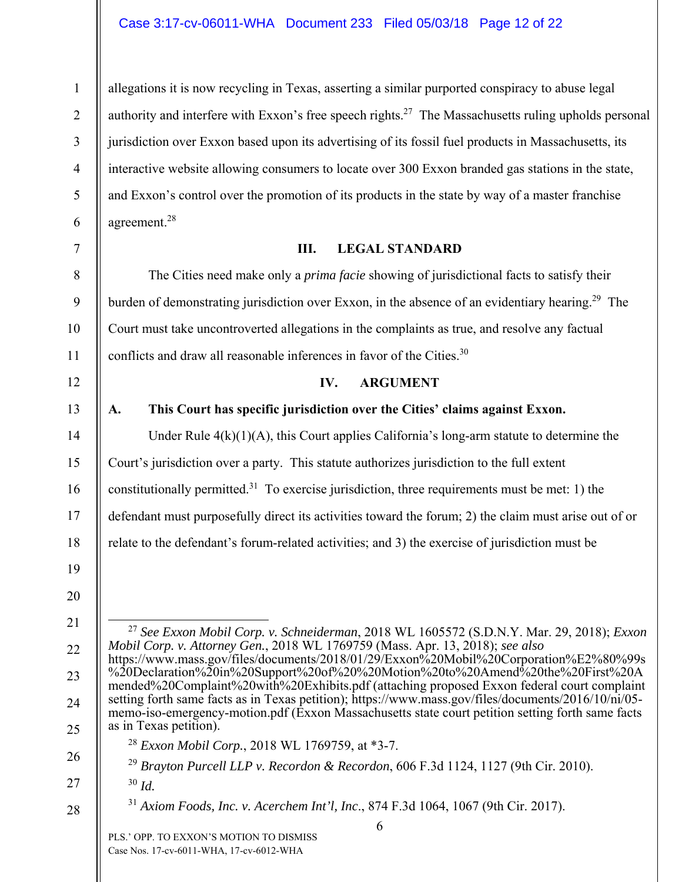allegations it is now recycling in Texas, asserting a similar purported conspiracy to abuse legal authority and interfere with Exxon's free speech rights.<sup>27</sup> The Massachusetts ruling upholds personal jurisdiction over Exxon based upon its advertising of its fossil fuel products in Massachusetts, its interactive website allowing consumers to locate over 300 Exxon branded gas stations in the state, and Exxon's control over the promotion of its products in the state by way of a master franchise agreement.28

# **III. LEGAL STANDARD**

The Cities need make only a *prima facie* showing of jurisdictional facts to satisfy their burden of demonstrating jurisdiction over Exxon, in the absence of an evidentiary hearing.<sup>29</sup> The Court must take uncontroverted allegations in the complaints as true, and resolve any factual conflicts and draw all reasonable inferences in favor of the Cities.<sup>30</sup>

### **IV. ARGUMENT**

# **A. This Court has specific jurisdiction over the Cities' claims against Exxon.**

Under Rule  $4(k)(1)(A)$ , this Court applies California's long-arm statute to determine the

Court's jurisdiction over a party. This statute authorizes jurisdiction to the full extent

constitutionally permitted.<sup>31</sup> To exercise jurisdiction, three requirements must be met: 1) the

defendant must purposefully direct its activities toward the forum; 2) the claim must arise out of or

relate to the defendant's forum-related activities; and 3) the exercise of jurisdiction must be

19

1

2

3

4

5

6

7

8

9

10

11

12

13

14

15

16

17

18

20

21

22

23

24

25

26

28

 27 *See Exxon Mobil Corp. v. Schneiderman*, 2018 WL 1605572 (S.D.N.Y. Mar. 29, 2018); *Exxon Mobil Corp. v. Attorney Gen.*, 2018 WL 1769759 (Mass. Apr. 13, 2018); *see also* https://www.mass.gov/files/documents/2018/01/29/Exxon%20Mobil%20Corporation%E2%80%99s

- %20Declaration%20in%20Support%20of%20%20Motion%20to%20Amend%20the%20First%20A mended%20Complaint%20with%20Exhibits.pdf (attaching proposed Exxon federal court complaint setting forth same facts as in Texas petition); https://www.mass.gov/files/documents/2016/10/ni/05 memo-iso-emergency-motion.pdf (Exxon Massachusetts state court petition setting forth same facts as in Texas petition).
	- <sup>28</sup> *Exxon Mobil Corp.*, 2018 WL 1769759, at \*3-7.
	- <sup>29</sup> *Brayton Purcell LLP v. Recordon & Recordon*, 606 F.3d 1124, 1127 (9th Cir. 2010).
- 27

<sup>30</sup> *Id.*

<sup>31</sup> *Axiom Foods, Inc. v. Acerchem Int'l, Inc*., 874 F.3d 1064, 1067 (9th Cir. 2017).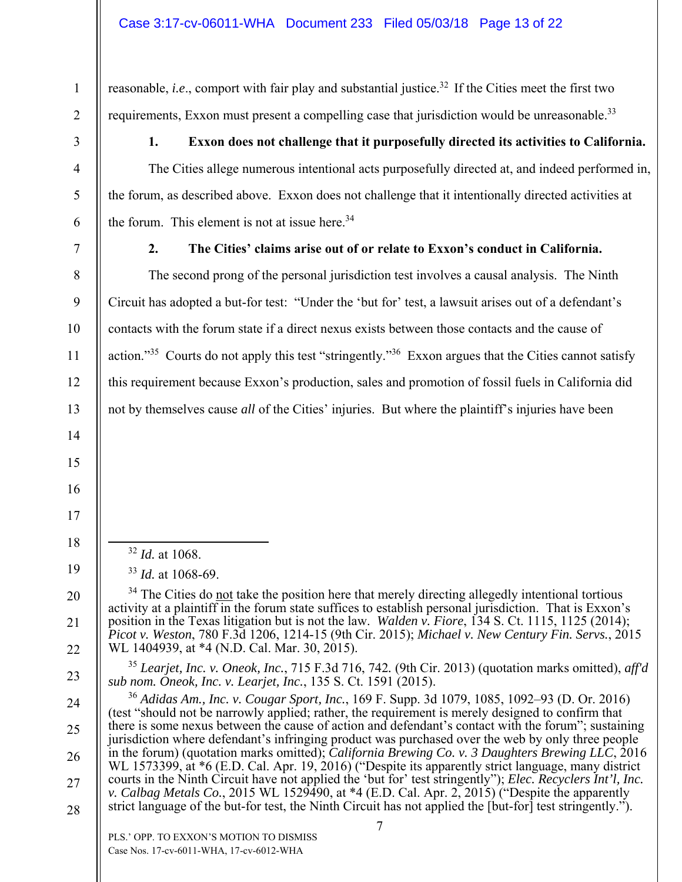reasonable, *i.e.*, comport with fair play and substantial justice.<sup>32</sup> If the Cities meet the first two requirements, Exxon must present a compelling case that jurisdiction would be unreasonable.<sup>33</sup>

# **1. Exxon does not challenge that it purposefully directed its activities to California.**

The Cities allege numerous intentional acts purposefully directed at, and indeed performed in, the forum, as described above. Exxon does not challenge that it intentionally directed activities at the forum. This element is not at issue here. $34$ 

1

2

3

4

5

6

7

8

9

10

11

12

13

14

15

16

17

18

19

20

21

22

23

### **2. The Cities' claims arise out of or relate to Exxon's conduct in California.**

The second prong of the personal jurisdiction test involves a causal analysis. The Ninth Circuit has adopted a but-for test: "Under the 'but for' test, a lawsuit arises out of a defendant's contacts with the forum state if a direct nexus exists between those contacts and the cause of action."<sup>35</sup> Courts do not apply this test "stringently."<sup>36</sup> Exxon argues that the Cities cannot satisfy this requirement because Exxon's production, sales and promotion of fossil fuels in California did not by themselves cause *all* of the Cities' injuries. But where the plaintiff's injuries have been

- 32 *Id.* at 1068.
- <sup>33</sup> *Id.* at 1068-69.

<sup>35</sup> *Learjet, Inc. v. Oneok, Inc.*, 715 F.3d 716, 742*.* (9th Cir. 2013) (quotation marks omitted), *aff'd sub nom. Oneok, Inc. v. Learjet, Inc.*, 135 S. Ct. 1591 (2015).

7 PLS.' OPP. TO EXXON'S MOTION TO DISMISS 24 25 26 27 28 <sup>36</sup> *Adidas Am., Inc. v. Cougar Sport, Inc.*, 169 F. Supp. 3d 1079, 1085, 1092–93 (D. Or. 2016) (test "should not be narrowly applied; rather, the requirement is merely designed to confirm that there is some nexus between the cause of action and defendant's contact with the forum"; sustaining jurisdiction where defendant's infringing product was purchased over the web by only three people in the forum) (quotation marks omitted); *California Brewing Co. v. 3 Daughters Brewing LLC*, 2016 WL 1573399, at \*6 (E.D. Cal. Apr. 19, 2016) ("Despite its apparently strict language, many district courts in the Ninth Circuit have not applied the 'but for' test stringently"); *Elec. Recyclers Int'l, Inc. v. Calbag Metals Co.*, 2015 WL 1529490, at \*4 (E.D. Cal. Apr. 2, 2015) ("Despite the apparently strict language of the but-for test, the Ninth Circuit has not applied the [but-for] test stringently.").

Case Nos. 17-cv-6011-WHA, 17-cv-6012-WHA

<sup>&</sup>lt;sup>34</sup> The Cities do not take the position here that merely directing allegedly intentional tortious activity at a plaintiff in the forum state suffices to establish personal jurisdiction. That is Exxon's position in the Texas litigation but is not the law. *Walden v. Fiore*, 134 S. Ct. 1115, 1125 (2014); *Picot v. Weston*, 780 F.3d 1206, 1214-15 (9th Cir. 2015); *Michael v. New Century Fin. Servs.*, 2015 WL 1404939, at \*4 (N.D. Cal. Mar. 30, 2015).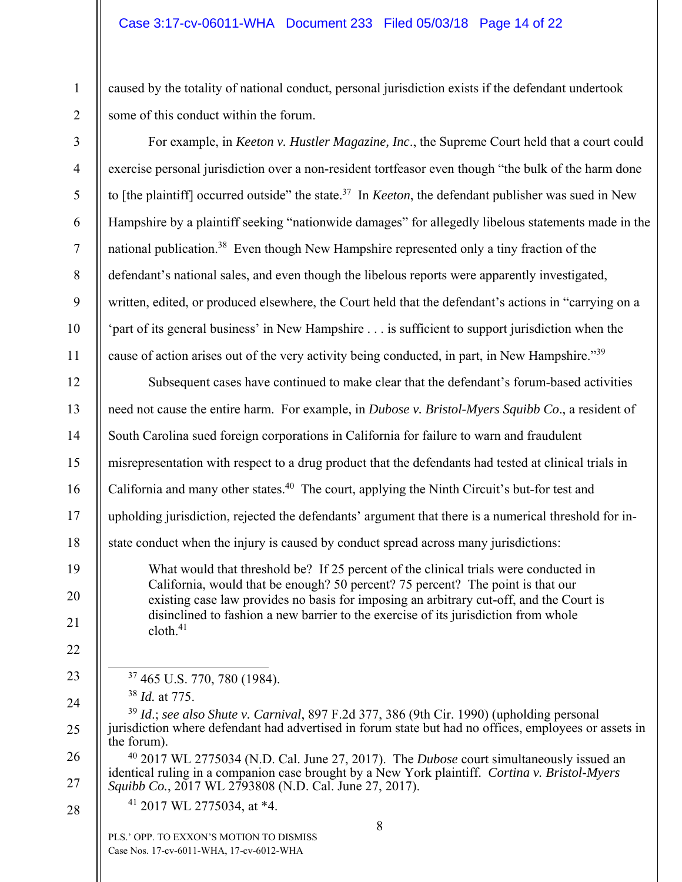caused by the totality of national conduct, personal jurisdiction exists if the defendant undertook some of this conduct within the forum.

| $\overline{3}$ | For example, in <i>Keeton v. Hustler Magazine, Inc.</i> , the Supreme Court held that a court could                                                                                                                 |  |  |  |  |
|----------------|---------------------------------------------------------------------------------------------------------------------------------------------------------------------------------------------------------------------|--|--|--|--|
| $\overline{4}$ | exercise personal jurisdiction over a non-resident tortfeasor even though "the bulk of the harm done                                                                                                                |  |  |  |  |
| 5              | to [the plaintiff] occurred outside" the state. <sup>37</sup> In <i>Keeton</i> , the defendant publisher was sued in New                                                                                            |  |  |  |  |
| 6              | Hampshire by a plaintiff seeking "nationwide damages" for allegedly libelous statements made in the                                                                                                                 |  |  |  |  |
| $\tau$         | national publication. <sup>38</sup> Even though New Hampshire represented only a tiny fraction of the                                                                                                               |  |  |  |  |
| $8\,$          | defendant's national sales, and even though the libelous reports were apparently investigated,                                                                                                                      |  |  |  |  |
| 9              | written, edited, or produced elsewhere, the Court held that the defendant's actions in "carrying on a                                                                                                               |  |  |  |  |
| 10             | 'part of its general business' in New Hampshire is sufficient to support jurisdiction when the                                                                                                                      |  |  |  |  |
| 11             | cause of action arises out of the very activity being conducted, in part, in New Hampshire."39                                                                                                                      |  |  |  |  |
| 12             | Subsequent cases have continued to make clear that the defendant's forum-based activities                                                                                                                           |  |  |  |  |
| 13             | need not cause the entire harm. For example, in Dubose v. Bristol-Myers Squibb Co., a resident of                                                                                                                   |  |  |  |  |
| 14             | South Carolina sued foreign corporations in California for failure to warn and fraudulent                                                                                                                           |  |  |  |  |
| 15             | misrepresentation with respect to a drug product that the defendants had tested at clinical trials in                                                                                                               |  |  |  |  |
| 16             | California and many other states. <sup>40</sup> The court, applying the Ninth Circuit's but-for test and                                                                                                            |  |  |  |  |
| 17             | upholding jurisdiction, rejected the defendants' argument that there is a numerical threshold for in-                                                                                                               |  |  |  |  |
| 18             | state conduct when the injury is caused by conduct spread across many jurisdictions:                                                                                                                                |  |  |  |  |
| 19<br>20       | What would that threshold be? If 25 percent of the clinical trials were conducted in<br>California, would that be enough? 50 percent? 75 percent? The point is that our                                             |  |  |  |  |
| 21             | existing case law provides no basis for imposing an arbitrary cut-off, and the Court is<br>disinclined to fashion a new barrier to the exercise of its jurisdiction from whole<br>$\text{cloth.}^{41}$              |  |  |  |  |
| 22             |                                                                                                                                                                                                                     |  |  |  |  |
| 23             | <sup>37</sup> 465 U.S. 770, 780 (1984).                                                                                                                                                                             |  |  |  |  |
| 24             | $38$ <i>Id.</i> at 775.                                                                                                                                                                                             |  |  |  |  |
| 25             | $39$ Id.; see also Shute v. Carnival, 897 F.2d 377, 386 (9th Cir. 1990) (upholding personal<br>jurisdiction where defendant had advertised in forum state but had no offices, employees or assets in<br>the forum). |  |  |  |  |
| 26             | $40$ 2017 WL 2775034 (N.D. Cal. June 27, 2017). The <i>Dubose</i> court simultaneously issued an<br>identical ruling in a companion case brought by a New York plaintiff. Cortina v. Bristol-Myers                  |  |  |  |  |
| 27             | Squibb Co., 2017 WL 2793808 (N.D. Cal. June 27, 2017).                                                                                                                                                              |  |  |  |  |
| 28             | <sup>41</sup> 2017 WL 2775034, at *4.                                                                                                                                                                               |  |  |  |  |
|                | 8<br>PLS.' OPP. TO EXXON'S MOTION TO DISMISS<br>Case Nos. 17-cv-6011-WHA, 17-cv-6012-WHA                                                                                                                            |  |  |  |  |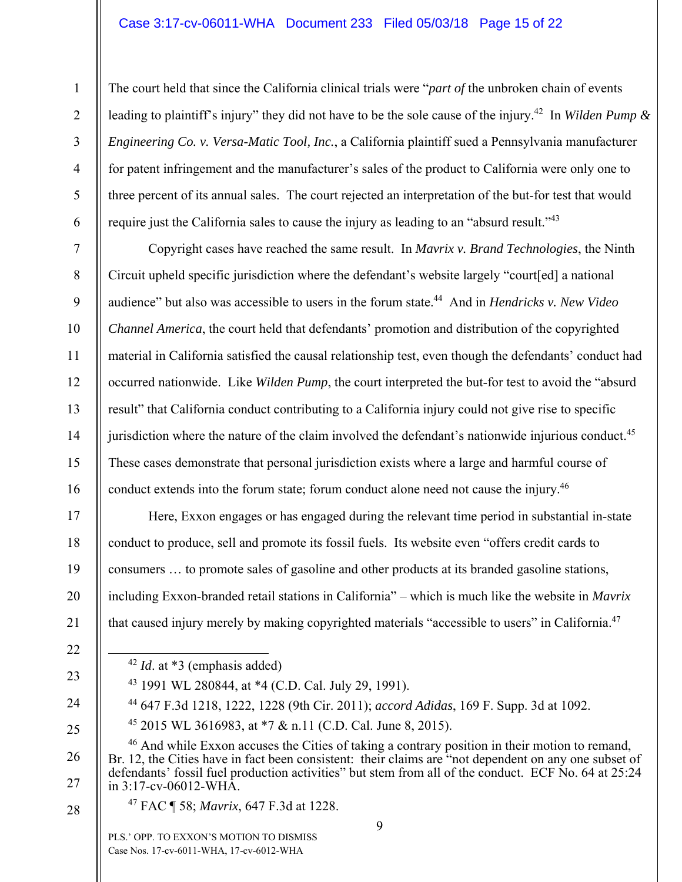#### Case 3:17-cv-06011-WHA Document 233 Filed 05/03/18 Page 15 of 22

The court held that since the California clinical trials were "*part of* the unbroken chain of events leading to plaintiff's injury" they did not have to be the sole cause of the injury.<sup>42</sup> In *Wilden Pump & Engineering Co. v. Versa-Matic Tool, Inc.*, a California plaintiff sued a Pennsylvania manufacturer for patent infringement and the manufacturer's sales of the product to California were only one to three percent of its annual sales. The court rejected an interpretation of the but-for test that would require just the California sales to cause the injury as leading to an "absurd result."<sup>43</sup>

Copyright cases have reached the same result. In *Mavrix v. Brand Technologies*, the Ninth Circuit upheld specific jurisdiction where the defendant's website largely "court[ed] a national audience" but also was accessible to users in the forum state.<sup>44</sup> And in *Hendricks v. New Video Channel America*, the court held that defendants' promotion and distribution of the copyrighted material in California satisfied the causal relationship test, even though the defendants' conduct had occurred nationwide. Like *Wilden Pump*, the court interpreted the but-for test to avoid the "absurd result" that California conduct contributing to a California injury could not give rise to specific jurisdiction where the nature of the claim involved the defendant's nationwide injurious conduct.<sup>45</sup> These cases demonstrate that personal jurisdiction exists where a large and harmful course of conduct extends into the forum state; forum conduct alone need not cause the injury.<sup>46</sup>

Here, Exxon engages or has engaged during the relevant time period in substantial in-state conduct to produce, sell and promote its fossil fuels. Its website even "offers credit cards to consumers … to promote sales of gasoline and other products at its branded gasoline stations, including Exxon-branded retail stations in California" – which is much like the website in *Mavrix* that caused injury merely by making copyrighted materials "accessible to users" in California.47

22

23

24

25

26

27

1

2

3

4

5

6

7

8

9

10

11

12

13

14

15

16

17

18

19

20

21

42 *Id*. at \*3 (emphasis added)

43 1991 WL 280844, at \*4 (C.D. Cal. July 29, 1991).

44 647 F.3d 1218, 1222, 1228 (9th Cir. 2011); *accord Adidas*, 169 F. Supp. 3d at 1092.

45 2015 WL 3616983, at \*7 & n.11 (C.D. Cal. June 8, 2015).

<sup>46</sup> And while Exxon accuses the Cities of taking a contrary position in their motion to remand, Br. 12, the Cities have in fact been consistent: their claims are "not dependent on any one subset of defendants' fossil fuel production activities" but stem from all of the conduct. ECF No. 64 at 25:24 in 3:17-cv-06012-WHA.

28

47 FAC ¶ 58; *Mavrix*, 647 F.3d at 1228.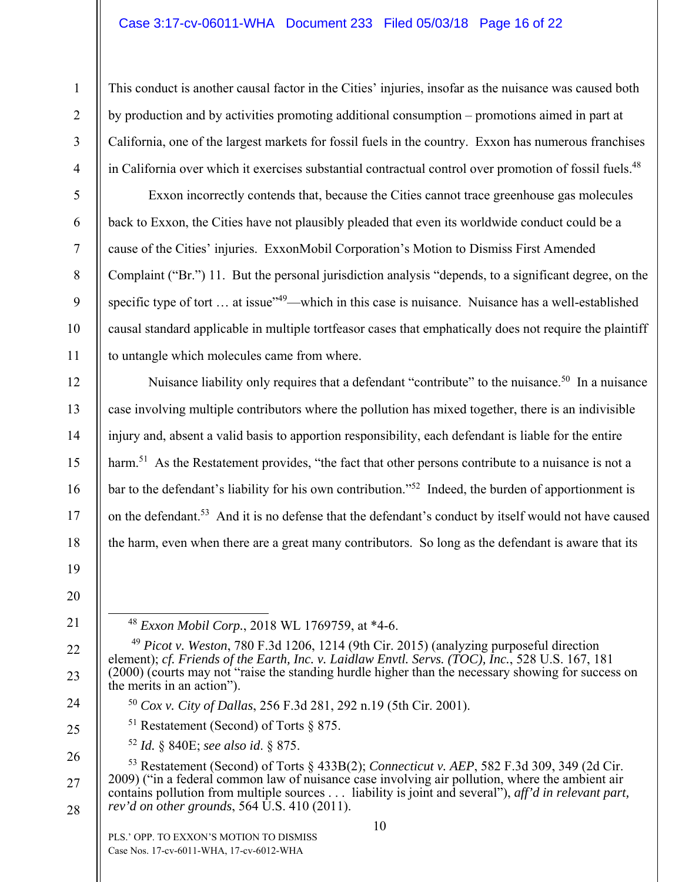### Case 3:17-cv-06011-WHA Document 233 Filed 05/03/18 Page 16 of 22

This conduct is another causal factor in the Cities' injuries, insofar as the nuisance was caused both by production and by activities promoting additional consumption – promotions aimed in part at California, one of the largest markets for fossil fuels in the country. Exxon has numerous franchises in California over which it exercises substantial contractual control over promotion of fossil fuels.<sup>48</sup>

Exxon incorrectly contends that, because the Cities cannot trace greenhouse gas molecules back to Exxon, the Cities have not plausibly pleaded that even its worldwide conduct could be a cause of the Cities' injuries. ExxonMobil Corporation's Motion to Dismiss First Amended Complaint ("Br.") 11. But the personal jurisdiction analysis "depends, to a significant degree, on the specific type of tort ... at issue"<sup>49</sup>—which in this case is nuisance. Nuisance has a well-established causal standard applicable in multiple tortfeasor cases that emphatically does not require the plaintiff to untangle which molecules came from where.

Nuisance liability only requires that a defendant "contribute" to the nuisance.<sup>50</sup> In a nuisance case involving multiple contributors where the pollution has mixed together, there is an indivisible injury and, absent a valid basis to apportion responsibility, each defendant is liable for the entire harm.<sup>51</sup> As the Restatement provides, "the fact that other persons contribute to a nuisance is not a bar to the defendant's liability for his own contribution."<sup>52</sup> Indeed, the burden of apportionment is on the defendant.<sup>53</sup> And it is no defense that the defendant's conduct by itself would not have caused the harm, even when there are a great many contributors. So long as the defendant is aware that its

48 *Exxon Mobil Corp.*, 2018 WL 1769759, at \*4-6.

- <sup>50</sup> *Cox v. City of Dallas*, 256 F.3d 281, 292 n.19 (5th Cir. 2001).
- <sup>51</sup> Restatement (Second) of Torts  $\S 875$ .
- <sup>52</sup> *Id.* § 840E; *see also id*. § 875.

1

2

3

4

5

6

7

8

9

10

11

12

13

14

15

16

17

18

19

20

21

22

23

24

25

26

27

28

53 Restatement (Second) of Torts § 433B(2); *Connecticut v. AEP*, 582 F.3d 309, 349 (2d Cir. 2009) ("in a federal common law of nuisance case involving air pollution, where the ambient air contains pollution from multiple sources . . . liability is joint and several"), *aff'd in relevant part, rev'd on other grounds*, 564 U.S. 410 (2011).

<sup>49</sup> *Picot v. Weston*, 780 F.3d 1206, 1214 (9th Cir. 2015) (analyzing purposeful direction element); *cf. Friends of the Earth, Inc. v. Laidlaw Envtl. Servs. (TOC), Inc.*, 528 U.S. 167, 181 (2000) (courts may not "raise the standing hurdle higher than the necessary showing for success on the merits in an action").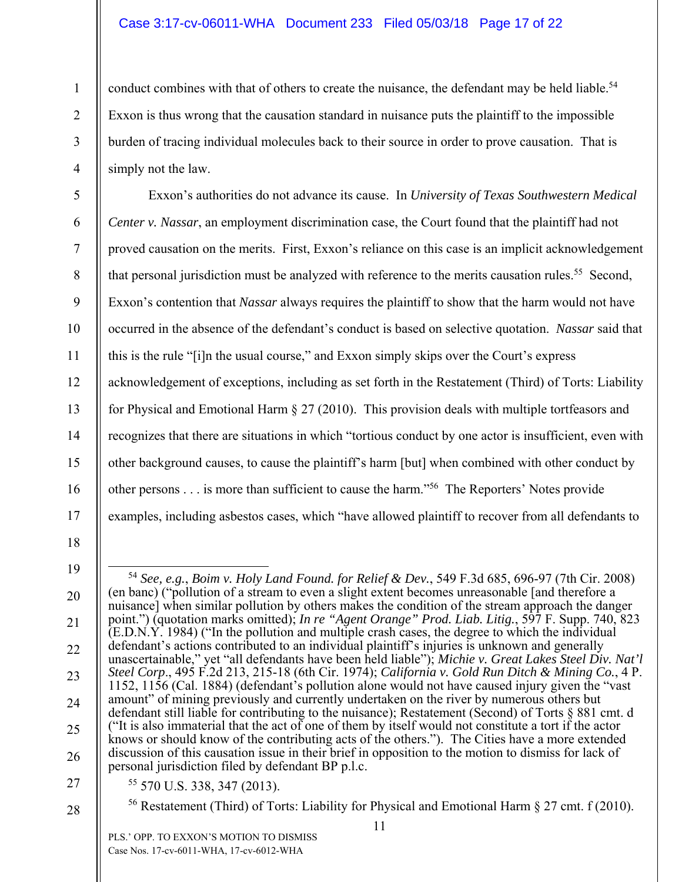### Case 3:17-cv-06011-WHA Document 233 Filed 05/03/18 Page 17 of 22

conduct combines with that of others to create the nuisance, the defendant may be held liable.<sup>54</sup> Exxon is thus wrong that the causation standard in nuisance puts the plaintiff to the impossible burden of tracing individual molecules back to their source in order to prove causation. That is simply not the law.

Exxon's authorities do not advance its cause. In *University of Texas Southwestern Medical Center v. Nassar*, an employment discrimination case, the Court found that the plaintiff had not proved causation on the merits. First, Exxon's reliance on this case is an implicit acknowledgement that personal jurisdiction must be analyzed with reference to the merits causation rules.<sup>55</sup> Second, Exxon's contention that *Nassar* always requires the plaintiff to show that the harm would not have occurred in the absence of the defendant's conduct is based on selective quotation. *Nassar* said that this is the rule "[i]n the usual course," and Exxon simply skips over the Court's express acknowledgement of exceptions, including as set forth in the Restatement (Third) of Torts: Liability for Physical and Emotional Harm § 27 (2010). This provision deals with multiple tortfeasors and recognizes that there are situations in which "tortious conduct by one actor is insufficient, even with other background causes, to cause the plaintiff's harm [but] when combined with other conduct by other persons . . . is more than sufficient to cause the harm."56 The Reporters' Notes provide examples, including asbestos cases, which "have allowed plaintiff to recover from all defendants to

17 18

1

2

3

4

5

6

7

8

9

10

11

12

13

14

15

16

19

20

21

22

23

24

25

26

27 28 55 570 U.S. 338, 347 (2013).

<sup>56</sup> Restatement (Third) of Torts: Liability for Physical and Emotional Harm  $\S 27$  cmt. f (2010).

 <sup>54</sup> *See, e.g.*, *Boim v. Holy Land Found. for Relief & Dev.*, 549 F.3d 685, 696-97 (7th Cir. 2008) (en banc) ("pollution of a stream to even a slight extent becomes unreasonable [and therefore a nuisance] when similar pollution by others makes the condition of the stream approach the danger point.") (quotation marks omitted); *In re "Agent Orange" Prod. Liab. Litig.*, 597 F. Supp. 740, 823 (E.D.N.Y. 1984) ("In the pollution and multiple crash cases, the degree to which the individual defendant's actions contributed to an individual plaintiff's injuries is unknown and generally unascertainable," yet "all defendants have been held liable"); *Michie v. Great Lakes Steel Div. Nat'l Steel Corp*., 495 F.2d 213, 215-18 (6th Cir. 1974); *California v. Gold Run Ditch & Mining Co.*, 4 P. 1152, 1156 (Cal. 1884) (defendant's pollution alone would not have caused injury given the "vast amount" of mining previously and currently undertaken on the river by numerous others but defendant still liable for contributing to the nuisance); Restatement (Second) of Torts § 881 cmt. d ("It is also immaterial that the act of one of them by itself would not constitute a tort if the actor knows or should know of the contributing acts of the others."). The Cities have a more extended discussion of this causation issue in their brief in opposition to the motion to dismiss for lack of personal jurisdiction filed by defendant BP p.l.c.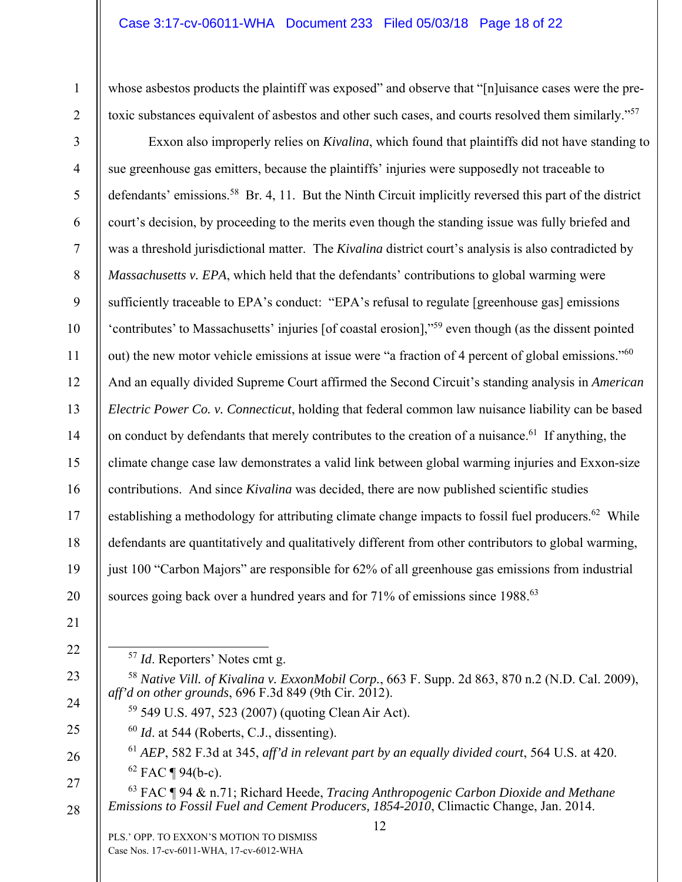#### Case 3:17-cv-06011-WHA Document 233 Filed 05/03/18 Page 18 of 22

whose asbestos products the plaintiff was exposed" and observe that "[n]uisance cases were the pretoxic substances equivalent of asbestos and other such cases, and courts resolved them similarly."57

4 5 6 7 8 9 10 12 13 14 15 16 17 18 19 20 Exxon also improperly relies on *Kivalina*, which found that plaintiffs did not have standing to sue greenhouse gas emitters, because the plaintiffs' injuries were supposedly not traceable to defendants' emissions.58 Br. 4, 11. But the Ninth Circuit implicitly reversed this part of the district court's decision, by proceeding to the merits even though the standing issue was fully briefed and was a threshold jurisdictional matter. The *Kivalina* district court's analysis is also contradicted by *Massachusetts v. EPA*, which held that the defendants' contributions to global warming were sufficiently traceable to EPA's conduct: "EPA's refusal to regulate [greenhouse gas] emissions 'contributes' to Massachusetts' injuries [of coastal erosion],"59 even though (as the dissent pointed out) the new motor vehicle emissions at issue were "a fraction of 4 percent of global emissions."60 And an equally divided Supreme Court affirmed the Second Circuit's standing analysis in *American Electric Power Co. v. Connecticut*, holding that federal common law nuisance liability can be based on conduct by defendants that merely contributes to the creation of a nuisance.<sup>61</sup> If anything, the climate change case law demonstrates a valid link between global warming injuries and Exxon-size contributions. And since *Kivalina* was decided, there are now published scientific studies establishing a methodology for attributing climate change impacts to fossil fuel producers.<sup>62</sup> While defendants are quantitatively and qualitatively different from other contributors to global warming, just 100 "Carbon Majors" are responsible for 62% of all greenhouse gas emissions from industrial sources going back over a hundred years and for 71% of emissions since 1988.<sup>63</sup>

21 22

1

2

3

11

23

24

25

26

- 57 *Id*. Reporters' Notes cmt g.
- <sup>58</sup> *Native Vill. of Kivalina v. ExxonMobil Corp.*, 663 F. Supp. 2d 863, 870 n.2 (N.D. Cal. 2009), *aff'd on other grounds*, 696 F.3d 849 (9th Cir. 2012).
	- 59 549 U.S. 497, 523 (2007) (quoting Clean Air Act).
	- <sup>60</sup> *Id*. at 544 (Roberts, C.J., dissenting).
- <sup>61</sup> *AEP*, 582 F.3d at 345, *aff'd in relevant part by an equally divided court*, 564 U.S. at 420.  $62$  FAC ¶ 94(b-c).
- 27 28 63 FAC ¶ 94 & n.71; Richard Heede, *Tracing Anthropogenic Carbon Dioxide and Methane Emissions to Fossil Fuel and Cement Producers, 1854-2010*, Climactic Change, Jan. 2014.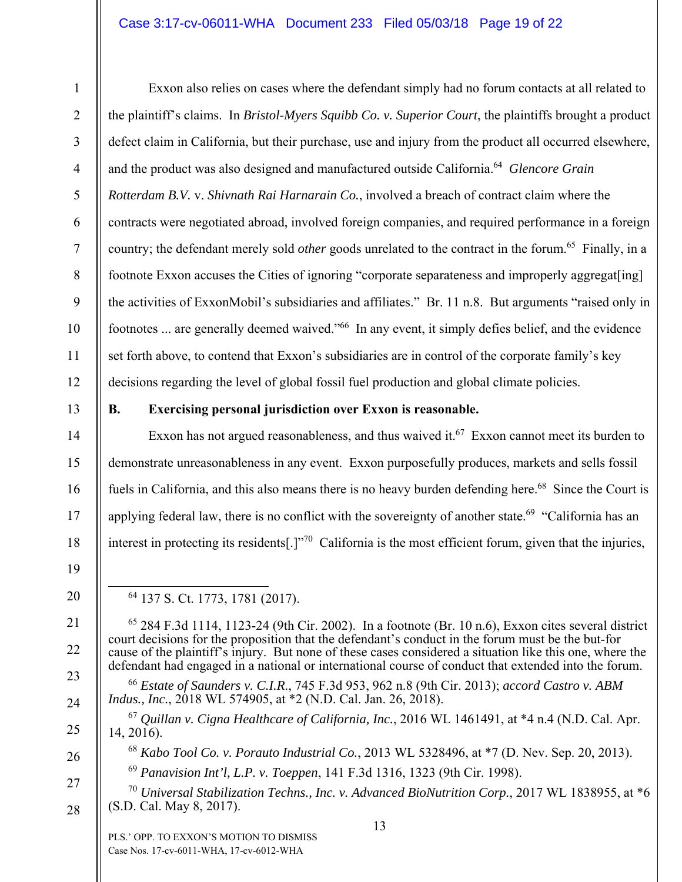### Case 3:17-cv-06011-WHA Document 233 Filed 05/03/18 Page 19 of 22

2

3

4

5

6

7

8

9

10

11

12

14

15

16

17

18

19

20

21

22

23

24

25

26

27

28

1

Exxon also relies on cases where the defendant simply had no forum contacts at all related to the plaintiff's claims. In *Bristol-Myers Squibb Co. v. Superior Court*, the plaintiffs brought a product defect claim in California, but their purchase, use and injury from the product all occurred elsewhere, and the product was also designed and manufactured outside California.64 *Glencore Grain Rotterdam B.V.* v. *Shivnath Rai Harnarain Co.*, involved a breach of contract claim where the contracts were negotiated abroad, involved foreign companies, and required performance in a foreign country; the defendant merely sold *other* goods unrelated to the contract in the forum.<sup>65</sup> Finally, in a footnote Exxon accuses the Cities of ignoring "corporate separateness and improperly aggregat[ing] the activities of ExxonMobil's subsidiaries and affiliates." Br. 11 n.8. But arguments "raised only in footnotes ... are generally deemed waived."66 In any event, it simply defies belief, and the evidence set forth above, to contend that Exxon's subsidiaries are in control of the corporate family's key decisions regarding the level of global fossil fuel production and global climate policies.

13

# **B. Exercising personal jurisdiction over Exxon is reasonable.**

Exxon has not argued reasonableness, and thus waived it.<sup>67</sup> Exxon cannot meet its burden to demonstrate unreasonableness in any event. Exxon purposefully produces, markets and sells fossil fuels in California, and this also means there is no heavy burden defending here.<sup>68</sup> Since the Court is applying federal law, there is no conflict with the sovereignty of another state.<sup>69</sup> "California has an interest in protecting its residents[.] $1^{570}$  California is the most efficient forum, given that the injuries,

64 137 S. Ct. 1773, 1781 (2017).

 $65$  284 F.3d 1114, 1123-24 (9th Cir. 2002). In a footnote (Br. 10 n.6), Exxon cites several district court decisions for the proposition that the defendant's conduct in the forum must be the but-for cause of the plaintiff's injury. But none of these cases considered a situation like this one, where the defendant had engaged in a national or international course of conduct that extended into the forum.

<sup>66</sup> *Estate of Saunders v. C.I.R*., 745 F.3d 953, 962 n.8 (9th Cir. 2013); *accord Castro v. ABM Indus., Inc.,* 2018 WL 574905, at \*2 (N.D. Cal. Jan. 26, 2018).

<sup>67</sup> *Quillan v. Cigna Healthcare of California, Inc.*, 2016 WL 1461491, at \*4 n.4 (N.D. Cal. Apr. 14, 2016).

<sup>68</sup> *Kabo Tool Co. v. Porauto Industrial Co.*, 2013 WL 5328496, at \*7 (D. Nev. Sep. 20, 2013).

- <sup>69</sup> *Panavision Int'l, L.P. v. Toeppen*, 141 F.3d 1316, 1323 (9th Cir. 1998).
- <sup>70</sup> *Universal Stabilization Techns., Inc. v. Advanced BioNutrition Corp.*, 2017 WL 1838955, at \*6 (S.D. Cal. May 8, 2017).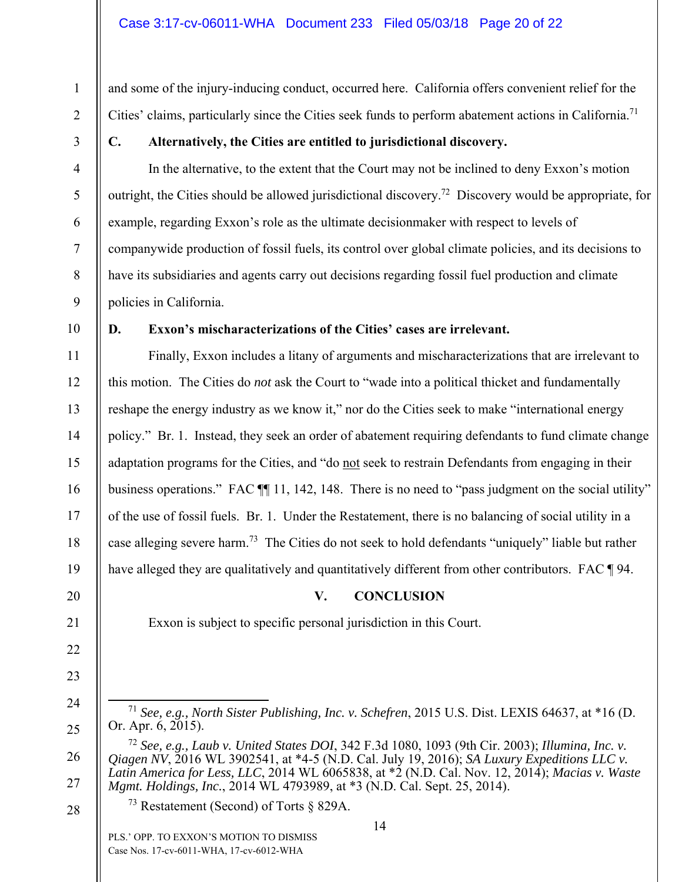and some of the injury-inducing conduct, occurred here. California offers convenient relief for the Cities' claims, particularly since the Cities seek funds to perform abatement actions in California.<sup>71</sup>

1

2

3

4

5

6

7

8

9

# **C. Alternatively, the Cities are entitled to jurisdictional discovery.**

In the alternative, to the extent that the Court may not be inclined to deny Exxon's motion outright, the Cities should be allowed jurisdictional discovery.<sup>72</sup> Discovery would be appropriate, for example, regarding Exxon's role as the ultimate decisionmaker with respect to levels of companywide production of fossil fuels, its control over global climate policies, and its decisions to have its subsidiaries and agents carry out decisions regarding fossil fuel production and climate policies in California.

10

11

12

13

14

15

16

17

18

19

20

# **D. Exxon's mischaracterizations of the Cities' cases are irrelevant.**

Exxon is subject to specific personal jurisdiction in this Court.

Finally, Exxon includes a litany of arguments and mischaracterizations that are irrelevant to this motion. The Cities do *not* ask the Court to "wade into a political thicket and fundamentally reshape the energy industry as we know it," nor do the Cities seek to make "international energy policy." Br. 1. Instead, they seek an order of abatement requiring defendants to fund climate change adaptation programs for the Cities, and "do not seek to restrain Defendants from engaging in their business operations." FAC  $\P$  11, 142, 148. There is no need to "pass judgment on the social utility" of the use of fossil fuels. Br. 1. Under the Restatement, there is no balancing of social utility in a case alleging severe harm.73 The Cities do not seek to hold defendants "uniquely" liable but rather have alleged they are qualitatively and quantitatively different from other contributors. FAC ¶ 94.

# **V. CONCLUSION**

21

- 22 23
- 
- 24
- 25

28

 <sup>71</sup> *See, e.g., North Sister Publishing, Inc. v. Schefren*, 2015 U.S. Dist. LEXIS 64637, at \*16 (D. Or. Apr. 6, 2015).

<sup>26</sup>  27 <sup>72</sup> *See, e.g., Laub v. United States DOI*, 342 F.3d 1080, 1093 (9th Cir. 2003); *Illumina, Inc. v. Qiagen NV*, 2016 WL 3902541, at \*4-5 (N.D. Cal. July 19, 2016); *SA Luxury Expeditions LLC v. Latin America for Less, LLC*, 2014 WL 6065838, at \*2 (N.D. Cal. Nov. 12, 2014); *Macias v. Waste Mgmt. Holdings, Inc.*, 2014 WL 4793989, at \*3 (N.D. Cal. Sept. 25, 2014).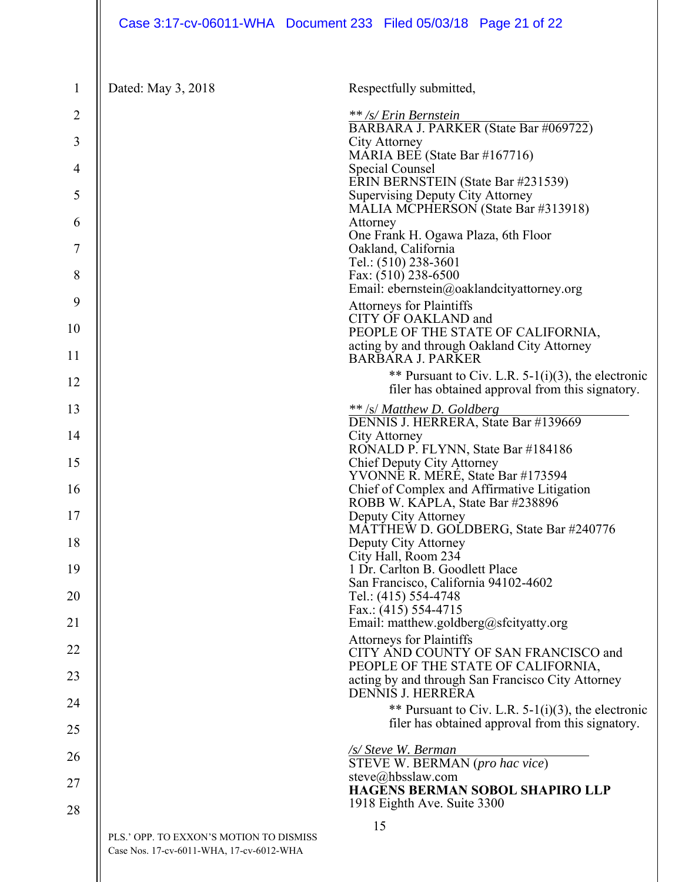| $\mathbf{1}$   | Dated: May 3, 2018                                                                  | Respectfully submitted,                                                                                   |
|----------------|-------------------------------------------------------------------------------------|-----------------------------------------------------------------------------------------------------------|
| $\overline{2}$ |                                                                                     | ** /s/ Erin Bernstein<br>BARBARA J. PARKER (State Bar #069722)                                            |
| 3              |                                                                                     | City Attorney                                                                                             |
| 4              |                                                                                     | MARIA BEE (State Bar #167716)<br>Special Counsel                                                          |
| 5              |                                                                                     | ERIN BERNSTEIN (State Bar #231539)<br><b>Supervising Deputy City Attorney</b>                             |
| 6              |                                                                                     | MALIA MCPHERSON (State Bar #313918)<br>Attorney                                                           |
| 7              |                                                                                     | One Frank H. Ogawa Plaza, 6th Floor<br>Oakland, California                                                |
| 8              |                                                                                     | Tel.: (510) 238-3601<br>Fax: (510) 238-6500                                                               |
| 9              |                                                                                     | Email: ebernstein@oaklandcityattorney.org<br><b>Attorneys for Plaintiffs</b>                              |
| 10             |                                                                                     | CITY OF OAKLAND and<br>PEOPLE OF THE STATE OF CALIFORNIA,<br>acting by and through Oakland City Attorney  |
| 11             |                                                                                     | <b>BARBARA J. PARKER</b>                                                                                  |
| 12             |                                                                                     | ** Pursuant to Civ. L.R. $5-1(i)(3)$ , the electronic<br>filer has obtained approval from this signatory. |
| 13             |                                                                                     | ** /s/ Matthew D. Goldberg<br>DENNIS J. HERRERA, State Bar #139669                                        |
| 14             |                                                                                     | City Attorney<br>RONALD P. FLYNN, State Bar #184186                                                       |
| 15             |                                                                                     | <b>Chief Deputy City Attorney</b>                                                                         |
| 16             |                                                                                     | YVONNE R. MERÉ, State Bar #173594<br>Chief of Complex and Affirmative Litigation                          |
| 17             |                                                                                     | ROBB W. KAPLA, State Bar #238896<br>Deputy City Attorney                                                  |
| 18             |                                                                                     | MATTHEW D. GOLDBERG, State Bar #240776<br>Deputy City Attorney                                            |
| 19             |                                                                                     | City Hall, Room 234<br>1 Dr. Carlton B. Goodlett Place                                                    |
| 20             |                                                                                     | San Francisco, California 94102-4602<br>Tel.: (415) 554-4748                                              |
| 21             |                                                                                     | Fax.: $(415)$ 554-4715<br>Email: matthew.goldberg@sfcityatty.org                                          |
| 22             |                                                                                     | <b>Attorneys for Plaintiffs</b><br>CITY AND COUNTY OF SAN FRANCISCO and                                   |
| 23             |                                                                                     | PEOPLE OF THE STATE OF CALIFORNIA,<br>acting by and through San Francisco City Attorney                   |
| 24             |                                                                                     | DENNIS J. HERRERA                                                                                         |
| 25             |                                                                                     | ** Pursuant to Civ. L.R. $5-1(i)(3)$ , the electronic<br>filer has obtained approval from this signatory. |
| 26             |                                                                                     | <u>/s/ Steve W. Berman</u>                                                                                |
| 27             |                                                                                     | STEVE W. BERMAN (pro hac vice)<br>steve@hbsslaw.com                                                       |
| 28             |                                                                                     | <b>HAGENS BERMAN SOBOL SHAPIRO LLP</b><br>1918 Eighth Ave. Suite 3300                                     |
|                | PLS.' OPP. TO EXXON'S MOTION TO DISMISS<br>Case Nos. 17-cv-6011-WHA, 17-cv-6012-WHA | 15                                                                                                        |
|                |                                                                                     |                                                                                                           |